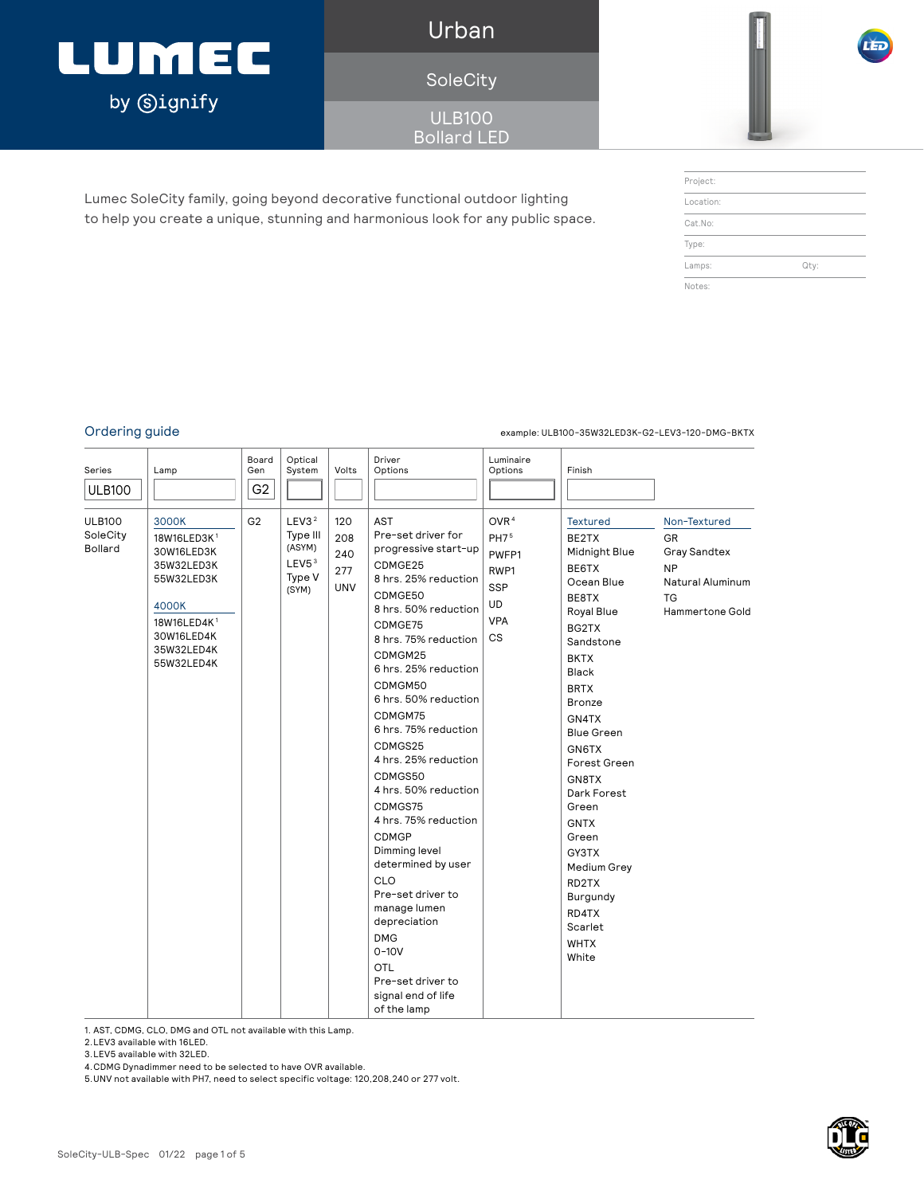### LUMEC by **Signify**

Urban

SoleCity

ULB100 Bollard LED

Lumec SoleCity family, going beyond decorative functional outdoor lighting to help you create a unique, stunning and harmonious look for any public space.

| Project:  |      |
|-----------|------|
| Location: |      |
| Cat.No:   |      |
| Type:     |      |
| Lamps:    | Qty: |
| Notes:    |      |

#### Ordering guide example: ULB100-35W32LED3K-G2-LEV3-120-DMG-BKTX

| Series<br><b>ULB100</b>              | Lamp                                                                                                                                                     | Board<br>Gen<br>G <sub>2</sub> | Optical<br>System                                                               | Volts                                  | Driver<br>Options                                                                                                                                                                                                                                                                                                                                                                                                                                                                                                                                                                                  | Luminaire<br>Options                                                                                        | Finish                                                                                                                                                                                                                                                                                                                                                                                |                                                                                                      |
|--------------------------------------|----------------------------------------------------------------------------------------------------------------------------------------------------------|--------------------------------|---------------------------------------------------------------------------------|----------------------------------------|----------------------------------------------------------------------------------------------------------------------------------------------------------------------------------------------------------------------------------------------------------------------------------------------------------------------------------------------------------------------------------------------------------------------------------------------------------------------------------------------------------------------------------------------------------------------------------------------------|-------------------------------------------------------------------------------------------------------------|---------------------------------------------------------------------------------------------------------------------------------------------------------------------------------------------------------------------------------------------------------------------------------------------------------------------------------------------------------------------------------------|------------------------------------------------------------------------------------------------------|
| <b>ULB100</b><br>SoleCity<br>Bollard | 3000K<br>18W16LED3K <sup>1</sup><br>30W16LED3K<br>35W32LED3K<br>55W32LED3K<br>4000K<br>18W16LED4K <sup>1</sup><br>30W16LED4K<br>35W32LED4K<br>55W32LED4K | G <sub>2</sub>                 | LEV3 <sup>2</sup><br>Type III<br>(ASYM)<br>LEV <sub>53</sub><br>Type V<br>(SYM) | 120<br>208<br>240<br>277<br><b>UNV</b> | AST<br>Pre-set driver for<br>progressive start-up<br>CDMGE25<br>8 hrs. 25% reduction<br>CDMGE50<br>8 hrs. 50% reduction<br>CDMGE75<br>8 hrs. 75% reduction<br>CDMGM25<br>6 hrs. 25% reduction<br>CDMGM50<br>6 hrs. 50% reduction<br>CDMGM75<br>6 hrs. 75% reduction<br>CDMGS25<br>4 hrs. 25% reduction<br>CDMGS50<br>4 hrs. 50% reduction<br>CDMGS75<br>4 hrs. 75% reduction<br><b>CDMGP</b><br>Dimming level<br>determined by user<br>CLO<br>Pre-set driver to<br>manage lumen<br>depreciation<br><b>DMG</b><br>$0 - 10V$<br><b>OTL</b><br>Pre-set driver to<br>signal end of life<br>of the lamp | OVR <sup>4</sup><br>PH7 <sup>5</sup><br>PWFP1<br>RWP1<br><b>SSP</b><br><b>UD</b><br><b>VPA</b><br><b>CS</b> | <b>Textured</b><br>BE2TX<br>Midnight Blue<br>BE6TX<br>Ocean Blue<br>BE8TX<br>Royal Blue<br>BG2TX<br>Sandstone<br><b>BKTX</b><br><b>Black</b><br><b>BRTX</b><br><b>Bronze</b><br>GN4TX<br><b>Blue Green</b><br>GN6TX<br>Forest Green<br>GN8TX<br>Dark Forest<br>Green<br><b>GNTX</b><br>Green<br>GY3TX<br>Medium Grey<br>RD2TX<br>Burgundy<br>RD4TX<br>Scarlet<br><b>WHTX</b><br>White | Non-Textured<br>GR.<br>Gray Sandtex<br><b>NP</b><br>Natural Aluminum<br><b>TG</b><br>Hammertone Gold |

1. AST, CDMG, CLO, DMG and OTL not available with this Lamp.

2.LEV3 available with 16LED.

3.LEV5 available with 32LED.

4.CDMG Dynadimmer need to be selected to have OVR available.

5.UNV not available with PH7, need to select specific voltage: 120,208,240 or 277 volt.

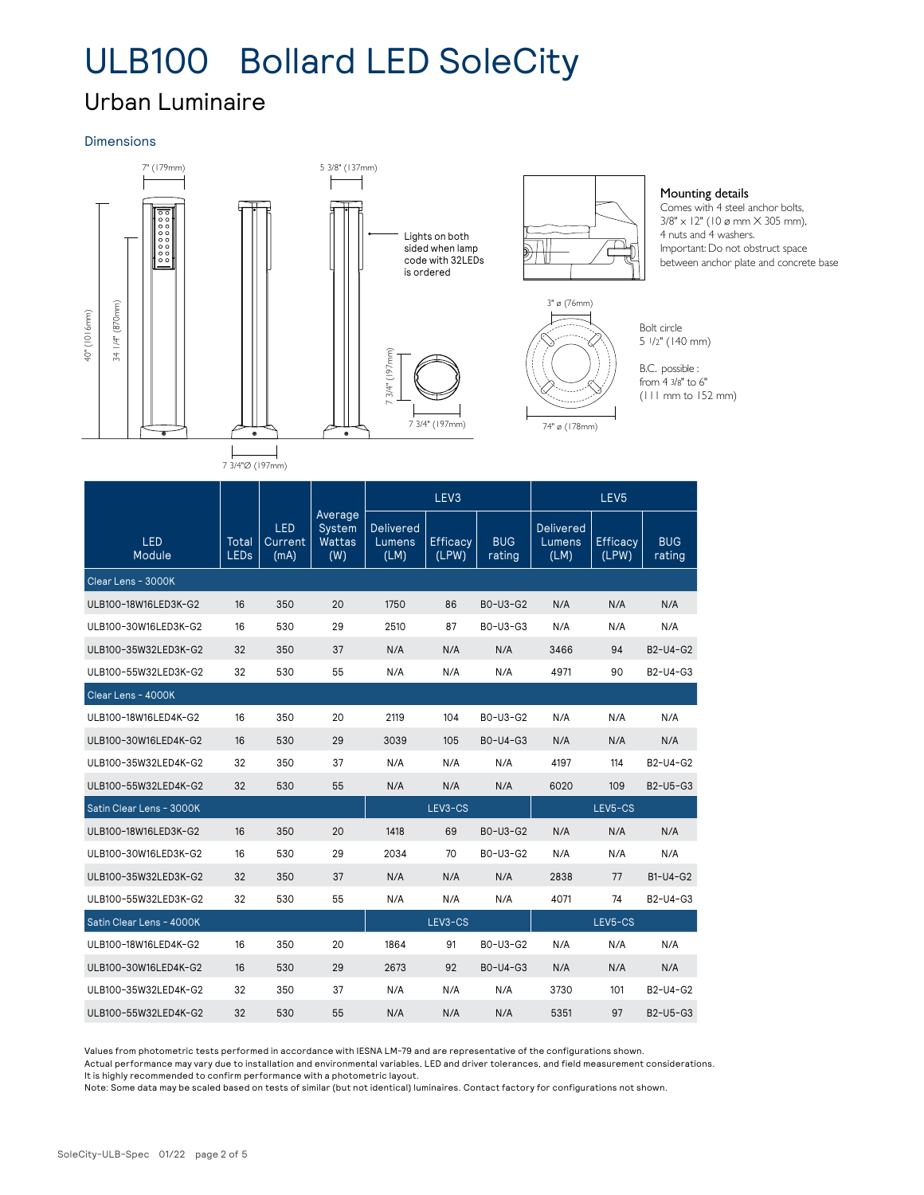### Urban Luminaire

### Dimensions



| 1/4" (870mm)<br>40" (1016mm)<br>$\overline{34}$ | $\bullet$            |                        | $\bullet$                          | 3/4" (197mm)                       | 7 3/4" (197mm)           |                      | 3" ø (/6mm)<br>74" ø (178mm)       |                          | Bolt circle<br>$51/2"$ (140 mm)<br>B.C. possible :<br>from 4 3/8" to 6"<br>$(111$ mm to $152$ mm) |  |
|-------------------------------------------------|----------------------|------------------------|------------------------------------|------------------------------------|--------------------------|----------------------|------------------------------------|--------------------------|---------------------------------------------------------------------------------------------------|--|
|                                                 | 7 3/4"Ø (197mm)      |                        |                                    |                                    |                          |                      |                                    |                          |                                                                                                   |  |
|                                                 |                      |                        |                                    | LEV <sub>3</sub>                   |                          |                      |                                    | LEV <sub>5</sub>         |                                                                                                   |  |
| <b>LED</b><br>Module                            | Total<br><b>LEDs</b> | LED<br>Current<br>(mA) | Average<br>System<br>Wattas<br>(W) | <b>Delivered</b><br>Lumens<br>(LM) | <b>Efficacy</b><br>(LPW) | <b>BUG</b><br>rating | <b>Delivered</b><br>Lumens<br>(LM) | <b>Efficacy</b><br>(LPW) | <b>BUG</b><br>rating                                                                              |  |
| Clear Lens - 3000K                              |                      |                        |                                    |                                    |                          |                      |                                    |                          |                                                                                                   |  |
| ULB100-18W16LED3K-G2                            | 16                   | 350                    | 20                                 | 1750                               | 86                       | B0-U3-G2             | N/A                                | N/A                      | N/A                                                                                               |  |
| ULB100-30W16LED3K-G2                            | 16                   | 530                    | 29                                 | 2510                               | 87                       | B0-U3-G3             | N/A                                | N/A                      | N/A                                                                                               |  |
| ULB100-35W32LED3K-G2                            | 32                   | 350                    | 37                                 | N/A                                | N/A                      | N/A                  | 3466                               | 94                       | B2-U4-G2                                                                                          |  |
| ULB100-55W32LED3K-G2                            | 32                   | 530                    | 55                                 | N/A                                | N/A                      | N/A                  | 4971                               | 90                       | B2-U4-G3                                                                                          |  |
| Clear Lens - 4000K                              |                      |                        |                                    |                                    |                          |                      |                                    |                          |                                                                                                   |  |
| ULB100-18W16LED4K-G2                            | 16                   | 350                    | 20                                 | 2119                               | 104                      | B0-U3-G2             | N/A                                | N/A                      | N/A                                                                                               |  |
| ULB100-30W16LED4K-G2                            | 16                   | 530                    | 29                                 | 3039                               | 105                      | B0-U4-G3             | N/A                                | N/A                      | N/A                                                                                               |  |
| ULB100-35W32LED4K-G2                            | 32                   | 350                    | 37                                 | N/A                                | N/A                      | N/A                  | 4197                               | 114                      | B2-U4-G2                                                                                          |  |
| ULB100-55W32LED4K-G2                            | 32                   | 530                    | 55                                 | N/A                                | N/A                      | N/A                  | 6020                               | 109                      | B2-U5-G3                                                                                          |  |
| Satin Clear Lens - 3000K                        |                      |                        |                                    |                                    | LEV3-CS                  |                      |                                    | LEV5-CS                  |                                                                                                   |  |
| ULB100-18W16LED3K-G2                            | 16                   | 350                    | 20                                 | 1418                               | 69                       | B0-U3-G2             | N/A                                | N/A                      | N/A                                                                                               |  |
| ULB100-30W16LED3K-G2                            | 16                   | 530                    | 29                                 | 2034                               | 70                       | B0-U3-G2             | N/A                                | N/A                      | N/A                                                                                               |  |
| ULB100-35W32LED3K-G2                            | 32                   | 350                    | 37                                 | N/A                                | N/A                      | N/A                  | 2838                               | 77                       | B1-U4-G2                                                                                          |  |
| ULB100-55W32LED3K-G2                            | 32                   | 530                    | 55                                 | N/A                                | N/A                      | N/A                  | 4071                               | 74                       | B2-U4-G3                                                                                          |  |
| Satin Clear Lens - 4000K                        |                      |                        |                                    |                                    | LEV3-CS                  |                      |                                    | LEV5-CS                  |                                                                                                   |  |
| ULB100-18W16LED4K-G2                            | 16                   | 350                    | 20                                 | 1864                               | 91                       | B0-U3-G2             | N/A                                | N/A                      | N/A                                                                                               |  |
| ULB100-30W16LED4K-G2                            | 16                   | 530                    | 29                                 | 2673                               | 92                       | B0-U4-G3             | N/A                                | N/A                      | N/A                                                                                               |  |
| ULB100-35W32LED4K-G2                            | 32                   | 350                    | 37                                 | N/A                                | N/A                      | N/A                  | 3730                               | 101                      | B2-U4-G2                                                                                          |  |
| ULB100-55W32LED4K-G2                            | 32                   | 530                    | 55                                 | N/A                                | N/A                      | N/A                  | 5351                               | 97                       | B2-U5-G3                                                                                          |  |

Values from photometric tests performed in accordance with IESNA LM-79 and are representative of the configurations shown.

Actual performance may vary due to installation and environmental variables, LED and driver tolerances, and field measurement considerations. It is highly recommended to confirm performance with a photometric layout.

Note: Some data may be scaled based on tests of similar (but not identical) luminaires. Contact factory for configurations not shown.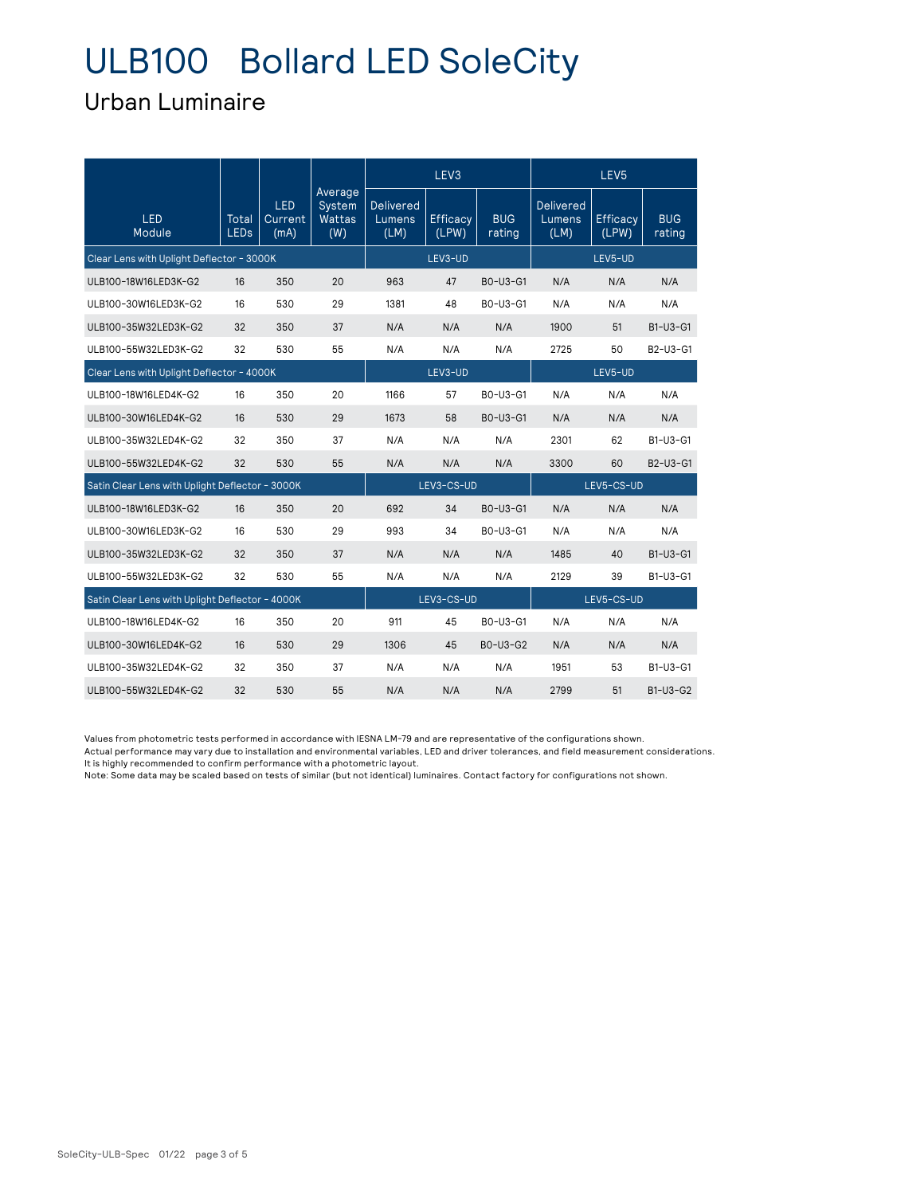### Urban Luminaire

|                                                 |               |                               |                                    | LEV <sub>3</sub>                   |                          | LEV <sub>5</sub>     |                                    |                          |                      |
|-------------------------------------------------|---------------|-------------------------------|------------------------------------|------------------------------------|--------------------------|----------------------|------------------------------------|--------------------------|----------------------|
| <b>LED</b><br>Module                            | Total<br>LEDs | <b>LED</b><br>Current<br>(mA) | Average<br>System<br>Wattas<br>(W) | <b>Delivered</b><br>Lumens<br>(LM) | <b>Efficacy</b><br>(LPW) | <b>BUG</b><br>rating | <b>Delivered</b><br>Lumens<br>(LM) | <b>Efficacy</b><br>(LPW) | <b>BUG</b><br>rating |
| Clear Lens with Uplight Deflector - 3000K       |               | LEV3-UD                       |                                    |                                    | LEV5-UD                  |                      |                                    |                          |                      |
| ULB100-18W16LED3K-G2                            | 16            | 350                           | 20                                 | 963                                | 47                       | B0-U3-G1             | N/A                                | N/A                      | N/A                  |
| ULB100-30W16LED3K-G2                            | 16            | 530                           | 29                                 | 1381                               | 48                       | B0-U3-G1             | N/A                                | N/A                      | N/A                  |
| ULB100-35W32LED3K-G2                            | 32            | 350                           | 37                                 | N/A                                | N/A                      | N/A                  | 1900                               | 51                       | B1-U3-G1             |
| ULB100-55W32LED3K-G2                            | 32            | 530                           | 55                                 | N/A                                | N/A                      | N/A                  | 2725                               | 50                       | B2-U3-G1             |
| Clear Lens with Uplight Deflector - 4000K       |               |                               |                                    |                                    | LEV3-UD                  |                      |                                    | LEV5-UD                  |                      |
| ULB100-18W16LED4K-G2                            | 16            | 350                           | 20                                 | 1166                               | 57                       | B0-U3-G1             | N/A                                | N/A                      | N/A                  |
| ULB100-30W16LED4K-G2                            | 16            | 530                           | 29                                 | 1673                               | 58                       | B0-U3-G1             | N/A                                | N/A                      | N/A                  |
| ULB100-35W32LED4K-G2                            | 32            | 350                           | 37                                 | N/A                                | N/A                      | N/A                  | 2301                               | 62                       | B1-U3-G1             |
| ULB100-55W32LED4K-G2                            | 32            | 530                           | 55                                 | N/A                                | N/A                      | N/A                  | 3300                               | 60                       | B2-U3-G1             |
| Satin Clear Lens with Uplight Deflector - 3000K |               |                               |                                    |                                    | LEV3-CS-UD               |                      |                                    | LEV5-CS-UD               |                      |
| ULB100-18W16LED3K-G2                            | 16            | 350                           | 20                                 | 692                                | 34                       | B0-U3-G1             | N/A                                | N/A                      | N/A                  |
| ULB100-30W16LED3K-G2                            | 16            | 530                           | 29                                 | 993                                | 34                       | B0-U3-G1             | N/A                                | N/A                      | N/A                  |
| ULB100-35W32LED3K-G2                            | 32            | 350                           | 37                                 | N/A                                | N/A                      | N/A                  | 1485                               | 40                       | B1-U3-G1             |
| ULB100-55W32LED3K-G2                            | 32            | 530                           | 55                                 | N/A                                | N/A                      | N/A                  | 2129                               | 39                       | B1-U3-G1             |
| Satin Clear Lens with Uplight Deflector - 4000K |               |                               |                                    |                                    | LEV3-CS-UD               |                      |                                    | LEV5-CS-UD               |                      |
| ULB100-18W16LED4K-G2                            | 16            | 350                           | 20                                 | 911                                | 45                       | B0-U3-G1             | N/A                                | N/A                      | N/A                  |
| ULB100-30W16LED4K-G2                            | 16            | 530                           | 29                                 | 1306                               | 45                       | B0-U3-G2             | N/A                                | N/A                      | N/A                  |
| ULB100-35W32LED4K-G2                            | 32            | 350                           | 37                                 | N/A                                | N/A                      | N/A                  | 1951                               | 53                       | B1-U3-G1             |
| ULB100-55W32LED4K-G2                            | 32            | 530                           | 55                                 | N/A                                | N/A                      | N/A                  | 2799                               | 51                       | B1-U3-G2             |

Values from photometric tests performed in accordance with IESNA LM-79 and are representative of the configurations shown.

Actual performance may vary due to installation and environmental variables, LED and driver tolerances, and field measurement considerations. It is highly recommended to confirm performance with a photometric layout.

Note: Some data may be scaled based on tests of similar (but not identical) luminaires. Contact factory for configurations not shown.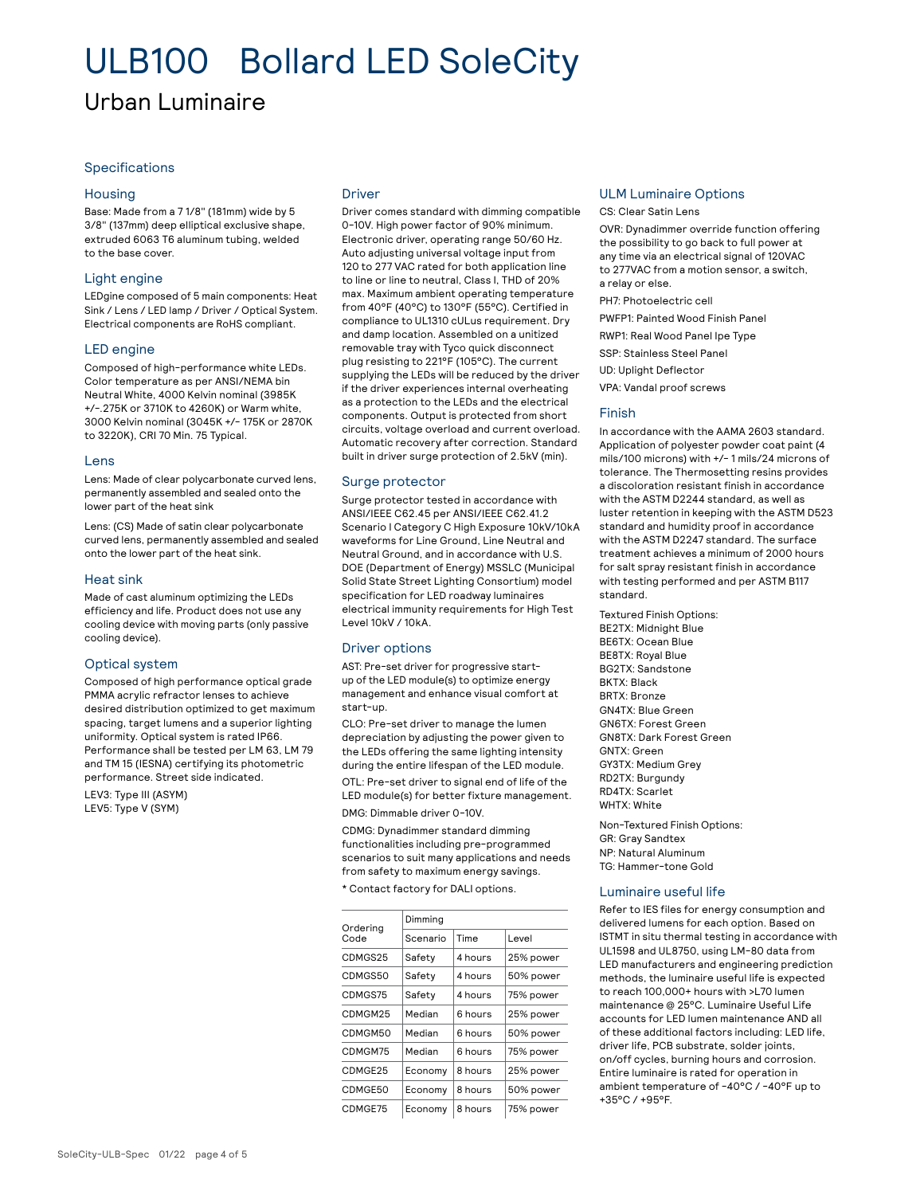### Urban Luminaire

#### Specifications

#### Housing

Base: Made from a 7 1/8" (181mm) wide by 5 3/8" (137mm) deep elliptical exclusive shape, extruded 6063 T6 aluminum tubing, welded to the base cover.

#### Light engine

LEDgine composed of 5 main components: Heat Sink / Lens / LED lamp / Driver / Optical System. Electrical components are RoHS compliant.

#### LED engine

Composed of high-performance white LEDs. Color temperature as per ANSI/NEMA bin Neutral White, 4000 Kelvin nominal (3985K +/-.275K or 3710K to 4260K) or Warm white, 3000 Kelvin nominal (3045K +/- 175K or 2870K to 3220K), CRI 70 Min. 75 Typical.

#### Lens

Lens: Made of clear polycarbonate curved lens, permanently assembled and sealed onto the lower part of the heat sink

Lens: (CS) Made of satin clear polycarbonate curved lens, permanently assembled and sealed onto the lower part of the heat sink.

#### Heat sink

Made of cast aluminum optimizing the LEDs efficiency and life. Product does not use any cooling device with moving parts (only passive cooling device).

#### Optical system

Composed of high performance optical grade PMMA acrylic refractor lenses to achieve desired distribution optimized to get maximum spacing, target lumens and a superior lighting uniformity. Optical system is rated IP66. Performance shall be tested per LM 63, LM 79 and TM 15 (IESNA) certifying its photometric performance. Street side indicated.

LEV3: Type III (ASYM) LEV5: Type V (SYM)

#### Driver

Driver comes standard with dimming compatible 0-10V. High power factor of 90% minimum. Electronic driver, operating range 50/60 Hz. Auto adjusting universal voltage input from 120 to 277 VAC rated for both application line to line or line to neutral, Class I, THD of 20% max. Maximum ambient operating temperature from 40°F (40°C) to 130°F (55°C). Certified in compliance to UL1310 cULus requirement. Dry and damp location. Assembled on a unitized removable tray with Tyco quick disconnect plug resisting to 221°F (105°C). The current supplying the LEDs will be reduced by the driver if the driver experiences internal overheating as a protection to the LEDs and the electrical components. Output is protected from short circuits, voltage overload and current overload. Automatic recovery after correction. Standard built in driver surge protection of 2.5kV (min).

#### Surge protector

Surge protector tested in accordance with ANSI/IEEE C62.45 per ANSI/IEEE C62.41.2 Scenario I Category C High Exposure 10kV/10kA waveforms for Line Ground, Line Neutral and Neutral Ground, and in accordance with U.S. DOE (Department of Energy) MSSLC (Municipal Solid State Street Lighting Consortium) model specification for LED roadway luminaires electrical immunity requirements for High Test Level 10kV / 10kA.

#### Driver options

AST: Pre-set driver for progressive startup of the LED module(s) to optimize energy management and enhance visual comfort at start-up.

CLO: Pre-set driver to manage the lumen depreciation by adjusting the power given to the LEDs offering the same lighting intensity during the entire lifespan of the LED module.

OTL: Pre-set driver to signal end of life of the LED module(s) for better fixture management. DMG: Dimmable driver 0-10V.

CDMG: Dynadimmer standard dimming functionalities including pre-programmed scenarios to suit many applications and needs from safety to maximum energy savings.

\* Contact factory for DALI options.

| Ordering<br>Code | Dimming  |         |           |  |  |  |  |  |
|------------------|----------|---------|-----------|--|--|--|--|--|
|                  | Scenario | Time    | Level     |  |  |  |  |  |
| CDMGS25          | Safety   | 4 hours | 25% power |  |  |  |  |  |
| CDMGS50          | Safety   | 4 hours | 50% power |  |  |  |  |  |
| CDMGS75          | Safety   | 4 hours | 75% power |  |  |  |  |  |
| CDMGM25          | Median   | 6 hours | 25% power |  |  |  |  |  |
| CDMGM50          | Median   | 6 hours | 50% power |  |  |  |  |  |
| CDMGM75          | Median   | 6 hours | 75% power |  |  |  |  |  |
| CDMGE25          | Economy  | 8 hours | 25% power |  |  |  |  |  |
| CDMGE50          | Economy  | 8 hours | 50% power |  |  |  |  |  |
| CDMGE75          | Economy  | 8 hours | 75% power |  |  |  |  |  |

#### ULM Luminaire Options

CS: Clear Satin Lens

OVR: Dynadimmer override function offering the possibility to go back to full power at any time via an electrical signal of 120VAC to 277VAC from a motion sensor, a switch, a relay or else.

PH7: Photoelectric cell

PWFP1: Painted Wood Finish Panel

RWP1: Real Wood Panel Ipe Type

SSP: Stainless Steel Panel

UD: Uplight Deflector

VPA: Vandal proof screws

#### Finish

In accordance with the AAMA 2603 standard. Application of polyester powder coat paint (4 mils/100 microns) with +/- 1 mils/24 microns of tolerance. The Thermosetting resins provides a discoloration resistant finish in accordance with the ASTM D2244 standard, as well as luster retention in keeping with the ASTM D523 standard and humidity proof in accordance with the ASTM D2247 standard. The surface treatment achieves a minimum of 2000 hours for salt spray resistant finish in accordance with testing performed and per ASTM B117 standard.

Textured Finish Options: BE2TX: Midnight Blue BE6TX: Ocean Blue BE8TX: Royal Blue BG2TX: Sandstone BKTX: Black BRTX: Bronze GN4TX: Blue Green GN6TX: Forest Green GN8TX: Dark Forest Green GNTX: Green GY3TX: Medium Grey RD2TX: Burgundy RD4TX: Scarlet WHTX: White

Non-Textured Finish Options: GR: Gray Sandtex NP: Natural Aluminum TG: Hammer-tone Gold

#### Luminaire useful life

Refer to IES files for energy consumption and delivered lumens for each option. Based on ISTMT in situ thermal testing in accordance with UL1598 and UL8750, using LM-80 data from LED manufacturers and engineering prediction methods, the luminaire useful life is expected to reach 100,000+ hours with >L70 lumen maintenance @ 25°C. Luminaire Useful Life accounts for LED lumen maintenance AND all of these additional factors including: LED life, driver life, PCB substrate, solder joints, on/off cycles, burning hours and corrosion. Entire luminaire is rated for operation in ambient temperature of -40°C / -40°F up to +35°C / +95°F.